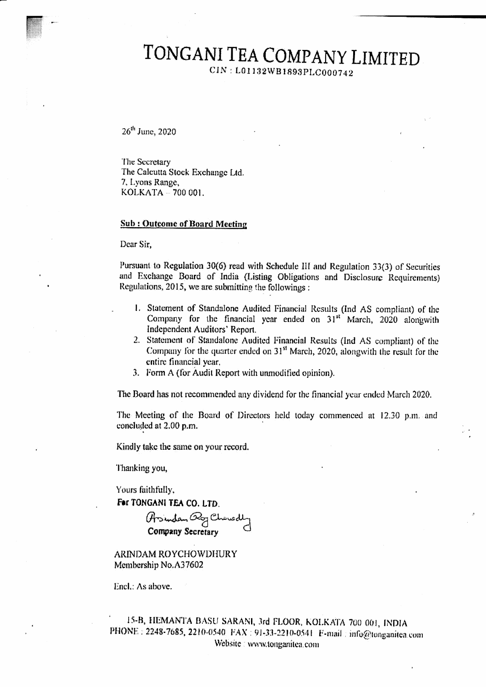CIN: L01132WB1893PLC000742

26<sup>th</sup> June, 2020

The Secretary The Calcutta Stock Exchange Ltd. 7, Lyons Range, KOLKATA - 700 001.

#### **Sub: Outcome of Board Meeting**

Dear Sir.

Pursuant to Regulation 30(6) read with Schedule III and Regulation 33(3) of Securities and Exchange Board of India (Listing Obligations and Disclosure Requirements) Regulations, 2015, we are submitting the followings:

- 1. Statement of Standalone Audited Financial Results (Ind AS compliant) of the Company for the financial year ended on 31<sup>st</sup> March, 2020 alongwith Independent Auditors' Report.
- 2. Statement of Standalone Audited Financial Results (Ind AS compliant) of the Company for the quarter ended on 31<sup>st</sup> March, 2020, alongwith the result for the entire financial year,
- 3. Form A (for Audit Report with unmodified opinion).

The Board has not recommended any dividend for the financial year ended March 2020.

The Meeting of the Board of Directors held today commenced at 12.30 p.m. and concluded at 2.00 p.m.

Kindly take the same on your record.

Thanking you,

Yours faithfully,

For TONGANI TEA CO. LTD.

Arsindan By Chowdly<br>Company Secretary

ARINDAM ROYCHOWDHURY Membership No.A37602

Encl.: As above.

15-B, HEMANTA BASU SARANI, 3rd FLOOR, KOLKATA 700 001, INDIA PHONE: 2248-7685, 2210-0540. FAX: 91-33-2210-0541. E-mail: info@tonganitea.com Website : www.tonganitea.com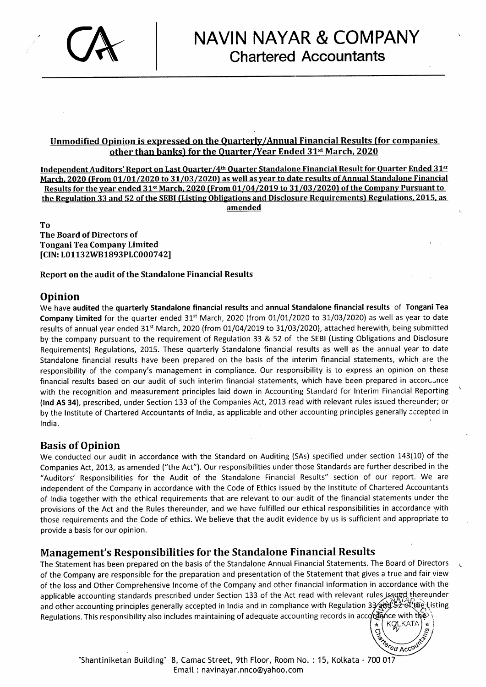# CK

#### Unmodified Opinion is expressed on the Quarterly/Annual Financial Results (for companies other than banks) for the Quarter/Year Ended 31<sup>st</sup> March, 2020

Independent Auditors' Report on Last Quarter/4<sup>th</sup> Quarter Standalone Financial Result for Quarter Ended 31st March, 2020 (From 01/01/2020 to 31/03/2020) as well as year to date results of Annual Standalone Financial Results for the year ended 31<sup>st</sup> March, 2020 (From 01/04/2019 to 31/03/2020) of the Company Pursuant to the Regulation 33 and 52 of the SEBI (Listing Obligations and Disclosure Requirements) Regulations. 2015, as amended

To The Board of Directors of Tongani Tea Company Limited [CIN: L01132WB1893PLC000742]

Report on the audit of the Standalone Financial Results

#### Opinion

We have audited the quarterly Standalone financial results and annual Standalone financial results of Tongani Tea Company Limited for the quarter ended  $31<sup>st</sup>$  March, 2020 (from 01/01/2020 to 31/03/2020) as well as year to date results of annual year ended 31<sup>st</sup> March, 2020 (from 01/04/2019 to 31/03/2020), attached herewith, being submitted by the company pursuant to the requirement of Regulation 33 & 52 of the SEBI (Listing Obligations and Disclosure Requirements) Regulations, 2015. These quarterly Standalone financial results as well as the annual year to date Standalone financial results have been prepared on the basis of the interim financial statements, which are the responsibility of the company's management in compliance. Our responsibility is to express an opinion on these financial results based on our audit of such interim financial statements, which have been prepared in accoruunce with the recognition and measurement principles laid down in Accounting Standard for lnterim Financial Reporting (Ind AS 34), prescribed, under Section 133 of the Companies Act, 2013 read with relevant rules issued thereunder; or by the lnstitute 6f Chartered Accountants of lndia, as applicable and other accounting principles generally accepted in lndia.

#### Basis of Opinion

We conducted our audit in accordance with the Standard on Auditing (SAs) specified under section 143(10) of the Companies Act, 2013, as amended ("the Act"). Our responsibilities under those Standards are further described in the "Auditors' Responsibilities for the Audit of the Standalone Financial Results" section of our report. We are independent of the Company in accordance with the Code of Ethics issued by the lnstitute of Chartered Accountants of lndia together with the ethical requirements that are relevant to our audit of the financial statements under the provisions of the Act and the Rules thereunder, and we have fulfilled our ethical responsibilities in accordance with those requirements and the Code of ethics. We believe that the audit evidence by us is sufficient and appropriate to provide a basis for our opinion.

#### Management's Responsibilities for the Standalone Financial Results

The Statement has been prepared on the basis of the Standalone Annual Financial Statements. The Board of Directors of the Company are responsible for the preparation and presentation of the Statement that gives a true and fair view of the loss and Other Comprehensive lncome of the Company and other financial information in accordance with the applicable accounting standards prescribed under Section 133 of the Act read with relevant rules jssued thereunder and other accounting principles generally accepted in India and in compliance with Regulation 33⁄att)52 of tag\Listing Regulations. This responsibility also includes maintaining of adequate accounting records in accore<br>`KQLKA | \*

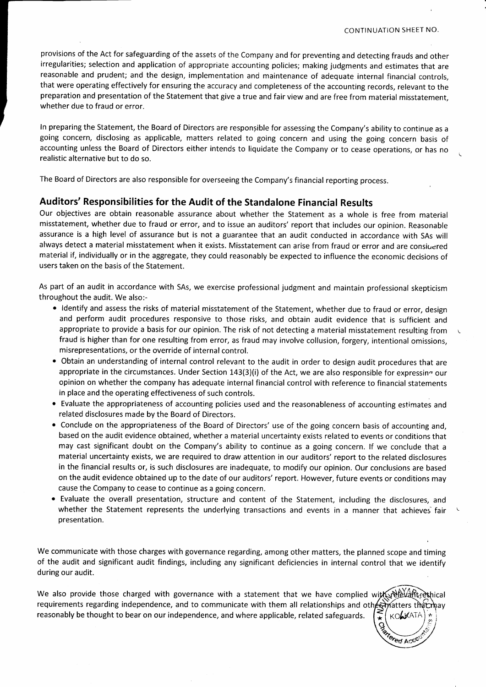provisions of the Act for safeguarding of the assets of the Company and for preventing and detecting frauds and other irregularities; selection and application of appropriate accounting policies; making judgments and estimates that are reasonable and prudent; and the design, implementation and maintenance of adequate internal financial controls, that were operating effectively for ensuring the accuracy and completeness of the accounting records, relevant to the preparation and presentation of the Statement that give a true and fair view and are free from material misstatement, whether due to fraud or error.

ln preparing the Statement, the Board of Directors are respongible for assessing the Company's ability to continue as <sup>a</sup> going concern, disclosing as applicable, matters related.to going concern and using the going concern basis of accounting unless the Board of Directors either intends to liquidate the Company or to cease operations, or has no realistic alternative but to do so.

The Board of Directors are also responsible for overseeing the Company's financial reporting process.

#### Auditors' Responsibilities for the Audit of the Standalone Financial Results

Our objectives are obtain reasonable assurance about whether the Statement as a whole is free from material misstatement, whether due to fraud or error, and to issue an auditors'report that includes our opinion. Reasonable assurance is a high level of assurance but is not a guarantee that an audit conducted in accordance with SAs will always detect a material misstatement when it exists. Misstatement can arise from fraud or error and are considered material if, individually or in the aggregate, they could reasonably be expected to influence the economic decisions of users taken on the basis of the Statement.

As part of an audit in accordance with SAs, we exercise professional judgment and maintain professional skepticism throughout the audit. We also:-

- . ldentify and assess the risks of material misstatement of the Statement, whether due to fraud or error, design and perform audit procedures responsive to those risks, and obtain audit evidence that is sufficient and appropriate to provide a basis for our opinion. The risk of not detecting a material misstatement resulting from fraud is higher than for one resulting from error, as fraud may involve collusion, forgery, intentional omissions, misrepresentations, or the override of internal control.
- . Obtain an understanding of internal control relevant to the audit in order to design audit procedures that are appropriate in the circumstances. Under Section  $143(3)(i)$  of the Act, we are also responsible for expressing our opinion on whether the company has adequate internal financial control with reference to financial statements in place and the operating effectiveness of such controls.
- . Evaluate the appropriateness of accounting policies used and the reasonableness of accounting estimates and related disclosures made by the Board of Directors.
- o Conclude on the appropriateness of the Board of Directors' use of the going concern basis of accounting and, based on the audit evidence obtained, whether a material uncertainty exists related to events or conditions that may cast significant doubt on the Company's ability to continue as a going concern. lf we conclude that <sup>a</sup> material uncertainty exists, we are required to draw attention in our auditors'report to the related disclosures in the financial results or, is such disclosures are inadequate, to modify our opinion. Our conclusions are based on the audit evidence obtained up to the date of our auditors' report. However, future events or conditions may cause the Company to cease to continue as a going concern.
- . Evaluate the overall presentation, structure and content of the Statement, including the disclosures, and whether the Statement represents the underlying transactions and events in a manner that achieves fair presentation.

We communicate with those charges with governance regarding, among other matters, the planned scope and timing of the audit and significant audit findings, including any significant deficiencies in internal control that we identify during our audit.

We also provide those charged with governance with a statement that we have complied with  $\mathbb{R}^d$ requirements regarding independence, and to communicate with them all relationships and oth $\epsilon$  matters that may reasonably be thought to bear on our independence, and where applicable, related safeguards.  $\mathcal{F}$   $\kappa$ 

ered Acc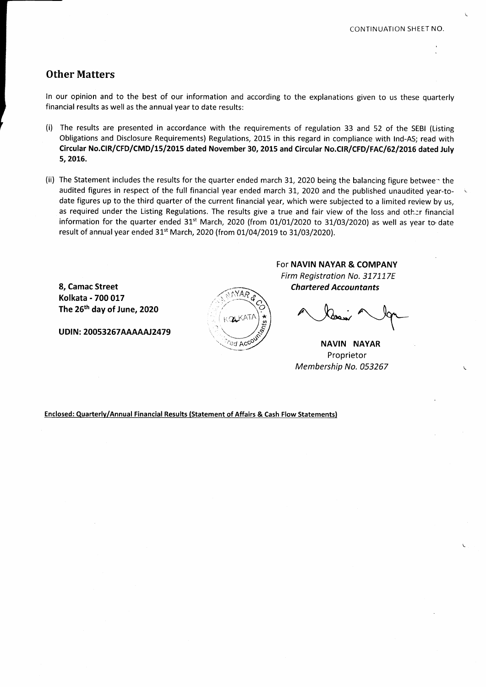#### Other Matters

ln our opinion and to the best of our information and according to the explanations given to us these quarterly financial results as well as the annual year to date results;

- (i) The results are presented in accordance with the requirements of regulation 33 and 52 of the SEBI (Listing Obligations and Disclosure Requirements) Regulations, 2015 in this regard in compliance with lnd-As; read with Circular No.CIR/CFD/CMD/15/2015 dated November 30, 2015 and Circular No.CIR/CFD/FAC/62/2016 dated July 5,2016.
- (ii) The Statement includes the results for the quarter ended march 31, 2020 being the balancing figure between the audited figures in respect of the full financial year ended march 31, 2020 and the published unaudited year-todate figures up to the third quarter of the current financial year, which were subjected to a limited review by us, as required under the Listing Regulations. The results give a true and fair view of the loss and other financial information for the quarter ended 31<sup>st</sup> March, 2020 (from 01/01/2020 to 31/03/2020) as well as year to date result of annual year ended 31<sup>st</sup> March, 2020 (from 01/04/2019 to 31/03/2020).

8, Camac Street Chartered Accountants Kolkata - 700 017 The 25th day of June, 2O2O

UDIN: 20053267AAAAAJ2479

 $\mathbb{P}^{1AB}$ q  $KQLKATA$ U' ed Ac<sup>c</sup>

For NAVIN NAYAR & COMPANY Firm Registration No. 317117E

NAVIN NAYAR Proprietor Membership No. 053267

Enclosed: Quarterlv/Annual Financial Results (Statement of Affairs & Cash Flow Statementsl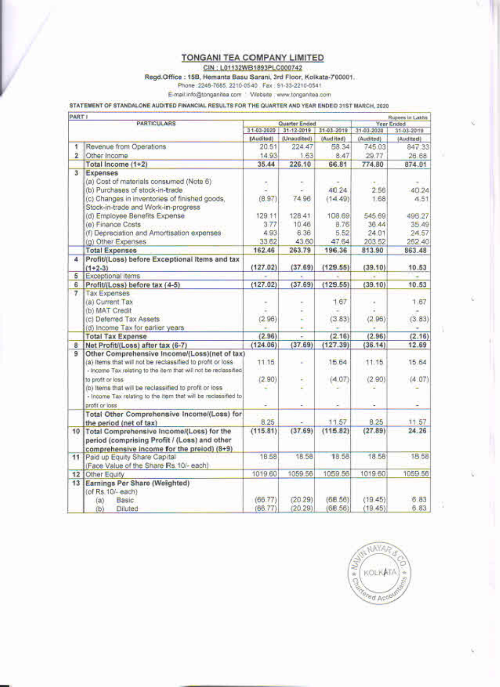CIN: L01132WB1893PLC000742

Regd.Office : 15B, Hemanta Basu Sarani, 3rd Floor, Kolkata-700001.

Phone: 2248-7685, 2210-0540 Fax: 91-33-2210-0541

E-mail:info@tonganites.com ' Website : www.tonganites.com

STATEMENT OF STANDALONE AUDITED FINANCIAL RESULTS FOR THE QUARTER AND YEAR ENDED 31ST MARCH, 2020

|                | PART I<br><b>PARTICULARS</b>                                               |           | Quarter Ended                          |             |                          | Rupees in Lakha<br><b>Year Ended</b> |  |
|----------------|----------------------------------------------------------------------------|-----------|----------------------------------------|-------------|--------------------------|--------------------------------------|--|
|                |                                                                            |           | 31-03-2020<br>31-12-2019<br>31-03-2019 |             | 31-03-2020<br>31-03-2019 |                                      |  |
|                |                                                                            | (bedibed) | (Unaudited).                           | (Aud ited)  | (Audited)                | (Audited)                            |  |
| ٠              | Revenue from Operations                                                    | 20.51     | 224.47                                 | 58.34       | 745.03                   | 847.33                               |  |
| 2.             | Other Income                                                               | 14.93     | 1.63                                   | 8.47        | 29.77                    | 26.68                                |  |
|                | Total Income (1+2)                                                         | 35.44     | 226.10                                 | 66.81       | 774.80                   | 874.01                               |  |
| 3 <sup>°</sup> | Expenses                                                                   |           |                                        |             |                          |                                      |  |
|                | (a) Cost of materials consumed (Note 6)                                    |           |                                        |             |                          |                                      |  |
|                | (b) Purchases of stock-in-trade                                            |           |                                        | 40.24       | 2.56                     | 40.24                                |  |
|                | (c) Changes in inventories of finished goods,                              | (0.97)    | 7496                                   | (14.49)     | 1.68                     | 4.51                                 |  |
|                | Stock-in-trade and Work-in-progress                                        |           |                                        |             |                          |                                      |  |
|                | (d) Employee Benefits Expense                                              | 129.11    | 128.41                                 | 108.69      | 545.69                   | 496.27                               |  |
|                | (e) Finance Costs                                                          | 377       | 10.46                                  | <b>B.76</b> | 36.44                    | 35.49                                |  |
|                | (f) Depreciation and Amortisation expenses                                 | 4.93      | 6.36                                   | 5.52        | 24.01                    | 24.57                                |  |
|                | (g) Other Expenses                                                         | 33.62     | 43.60                                  | 47.64       | 203.52                   | 262.40                               |  |
|                | <b>Total Expenses</b>                                                      | 162.46    | 263.79                                 | 196.36      | 813.90                   | 863.48                               |  |
| 4              | Profit/(Loss) before Exceptional Items and tax                             |           |                                        |             |                          |                                      |  |
|                | $(1+2-3)$                                                                  | (127.02)  | (37.69)                                | (129.55)    | (39.10)                  | 10.53                                |  |
| 5              | Exceptional items                                                          |           |                                        |             |                          |                                      |  |
| 6.             | Profit/(Loss) before tax (4-5)                                             | (127.02)  | (37.69)                                | (129.55)    | (39.10)                  | 10.53                                |  |
| $\overline{7}$ | <b>Tax Expenses</b>                                                        |           |                                        |             |                          |                                      |  |
|                | (a) Current Tax                                                            |           |                                        | 167         |                          | 1,67                                 |  |
|                | (b) MAT Credit                                                             |           |                                        |             |                          |                                      |  |
|                | (c) Deferred Tax Assets                                                    | (2.96)    |                                        | (3.83)      | (2.96)                   | (3.83)                               |  |
|                | (d) Income Tax for earlier years                                           |           |                                        |             |                          |                                      |  |
|                | <b>Total Tax Expense</b>                                                   | (2.96)    |                                        | (2.16)      | (2.96)                   | (2.16)                               |  |
| 8              | Net Profit/(Loss) after tax (6-7)                                          | (124.06)  | (37.69)                                | (127.39)    | (36.14)                  | 12.69                                |  |
| $\overline{9}$ | Other Comprehensive Income/(Loss)(net of tax)                              |           |                                        |             |                          |                                      |  |
|                | (a) items that will not be reclassified to profit or loss                  | 11:15     |                                        | 15.64       | 11.15                    | 15.64                                |  |
|                | - Income Tax relating to the item that will not be reclassified            |           |                                        |             |                          |                                      |  |
|                | to profit or loss                                                          | (2.90)    |                                        | (4.07)      | (2.90)                   | (4.07)                               |  |
|                | (b) Items that will be reclassified to profit or loss                      |           |                                        |             |                          |                                      |  |
|                | - Income Tax relating to the item that will be reclassified to             |           |                                        |             |                          |                                      |  |
|                | profit or loss                                                             |           | ÷                                      |             | ÷,                       |                                      |  |
|                | Total Other Comprehensive Income/(Loss) for                                |           |                                        |             |                          |                                      |  |
|                | the period (net of tax)                                                    | 8.25      |                                        | 11.57       | 8.25                     | 11.57                                |  |
| 10             | Total Comprehensive Income/(Loss) for the                                  | (115.81)  | (37.69)                                | (115.82)    | (27.89)                  | 24.26                                |  |
|                | period (comprising Profit / (Loss) and other                               |           |                                        |             |                          |                                      |  |
|                |                                                                            |           |                                        |             |                          |                                      |  |
| 11             | comprehensive income for the preiod) (8+9)<br>Paid up Equity Share Capital | 18.58     | 18.58                                  | 18.58       | 18.58                    | 18.58                                |  |
|                | (Face Value of the Share Rs. 10/- each)                                    |           |                                        |             |                          |                                      |  |
| 12             |                                                                            | 1019.60   | 1059.56                                | 1059.56     | 1019.60                  | 1059.56                              |  |
|                | Other Equity                                                               |           |                                        |             |                          |                                      |  |
| 13             | Earnings Per Share (Weighted)<br>(of Rs. 10/- each)                        |           |                                        |             |                          |                                      |  |
|                |                                                                            | (66.77)   | (20.29)                                | (66.56)     | (19.45)                  | 6.83                                 |  |
|                | Basic<br>(a)                                                               |           |                                        |             |                          | 6.83                                 |  |
|                | (b)<br><b>Diluted</b>                                                      | (66.77)   | (20.29)                                | (66.56)     | (19.45)                  |                                      |  |

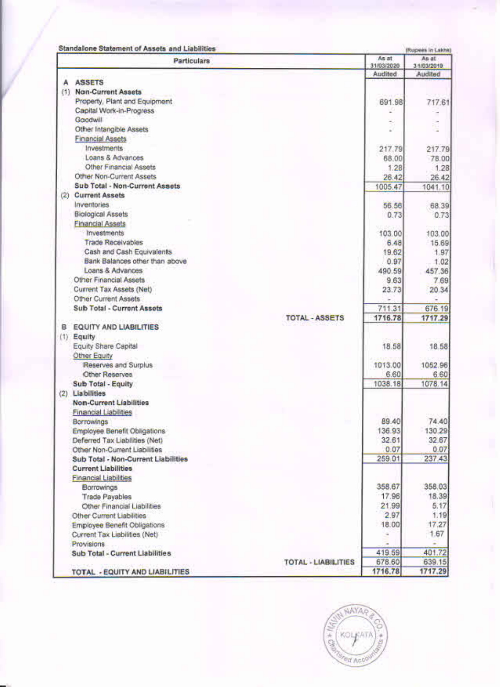|     | <b>Standalone Statement of Assets and Liabilities</b> |                                      |        | (Rupees in Lakhe)<br>As at |
|-----|-------------------------------------------------------|--------------------------------------|--------|----------------------------|
|     | <b>Particulars</b>                                    | As at<br>31/03/2020                  |        | 3/1/03/2019                |
|     |                                                       | Audited                              |        | Audited                    |
| А   | <b>ASSETS</b>                                         |                                      |        |                            |
|     | (1) Non-Current Assets                                |                                      |        |                            |
|     | Property, Plant and Equipment                         |                                      | 691.98 | 717.61                     |
|     | Capital Work-in-Progress                              |                                      | ÷      |                            |
|     | Goodwill                                              |                                      |        | ē                          |
|     | Other Intangible Assets                               |                                      |        |                            |
|     | <b>Financial Assets</b>                               |                                      |        |                            |
|     | Investments                                           |                                      | 217.79 | 217.79                     |
|     | Loans & Advances                                      |                                      | 68.00  | 78.00                      |
|     | Other Financial Assets                                |                                      | 1.28   | 1.28                       |
|     | Other Non-Current Assets                              |                                      | 26.42  | 26.42                      |
|     | Sub Total - Non-Current Assets                        | 1005.47                              |        | 1041.10                    |
| (2) | <b>Current Assets</b>                                 |                                      |        |                            |
|     | <b>Inventories</b>                                    |                                      | 56.56  | 68.39                      |
|     | <b>Biological Assets</b>                              |                                      | 0.73   | 0.73                       |
|     | <b>Financial Assets</b>                               |                                      |        |                            |
|     | <b>Investments</b>                                    | 103.00                               |        | 103.00                     |
|     | <b>Trade Receivables</b>                              |                                      | 6.48   | 15.69                      |
|     | Cash and Cash Equivalents                             |                                      | 19.62  | 1.97                       |
|     | Bank Balances other than above                        |                                      | 0.97   | 1.02                       |
|     | Loans & Advances                                      | 490.59                               |        | 457.36                     |
|     | Other Financial Assets                                |                                      | 9.63   | 7.69                       |
|     | Current Tax Assets (Net)                              |                                      | 23.73  | 20.34                      |
|     | Other Current Assets                                  |                                      |        |                            |
|     | Sub Total - Current Assets                            | 711.31                               |        | 676.19                     |
|     |                                                       | 1716.78<br><b>TOTAL - ASSETS</b>     |        | 1717.29                    |
|     | <b>B</b> EQUITY AND LIABILITIES                       |                                      |        |                            |
|     | $(1)$ Equity                                          |                                      |        |                            |
|     | Equity Share Capital                                  |                                      | 18.58  | 18.58                      |
|     | Other Equity                                          |                                      |        |                            |
|     | Reserves and Surplus                                  | 1013.00                              |        | 1052.96                    |
|     | Other Reserves                                        |                                      | 6.60   | 6.60                       |
|     | Sub Total - Equity                                    | 1038.18                              |        | 1078.14                    |
| (2) | <b>Liabilities</b>                                    |                                      |        |                            |
|     | <b>Non-Current Liabilities</b>                        |                                      |        |                            |
|     | Financial Liabilities                                 |                                      |        |                            |
|     | Borrowings                                            |                                      | 89.40  | 74.40                      |
|     | Employee Benefit Obligations                          | 136.93                               |        | 130.29                     |
|     | Deferred Tax Liabilities (Net)                        |                                      | 32.61  | 32.67                      |
|     | Other Non-Current Liabilities                         |                                      | 0.07   | 0.07                       |
|     | Sub Total - Non-Current Liabilities                   | 259.01                               |        | 237.43                     |
|     | <b>Current Liabilities</b>                            |                                      |        |                            |
|     | <b>Financial Liabilities</b>                          |                                      |        |                            |
|     | Borrowings                                            | 358.67                               |        | 358.03                     |
|     | <b>Trade Payables</b>                                 | 17.96                                |        | 18.39                      |
|     | Other Financial Liabilities                           | 21.99                                |        | 5.17                       |
|     | Other Current Liabilities                             |                                      | 2.97   | 1.19                       |
|     | Employee Benefit Obligations                          | 18.00                                |        | 17.27                      |
|     |                                                       |                                      |        | 1.67                       |
|     | Current Tax Liabilities (Net)                         |                                      |        |                            |
|     | Provisions                                            | 419.59                               |        | 401.72                     |
|     | Sub Total - Current Liabilities                       | 678.60<br><b>TOTAL - LIABILITIES</b> |        | 639.15                     |
|     |                                                       | 1716.78                              |        | 1717.29                    |
|     | TOTAL - EQUITY AND LIABILITIES                        |                                      |        |                            |

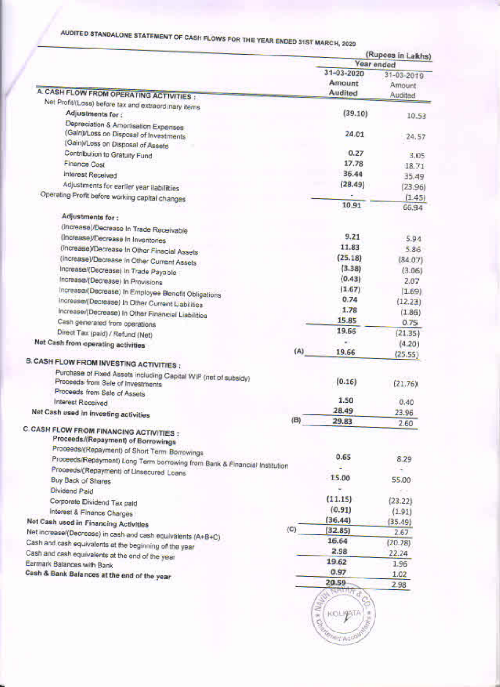## AUDITED STANDALONE STATEMENT OF CASH FLOWS FOR THE YEAR ENDED 31ST MARCH, 2020

| Year ended<br>31-03-2020<br>Amount<br>Audited<br>(39.10)<br>24.01<br>0.27<br>17.78<br>36.44<br>(28.49)<br>10.91<br>9.21<br>11.83<br>(25.18)<br>(3.38) | 31-03-2019<br>Amount<br>Audited<br>10.53<br>24.57<br>3.05<br>18.71<br>35.49<br>(23.96)<br>(1.45)<br>66,94<br>5.94                  |
|-------------------------------------------------------------------------------------------------------------------------------------------------------|------------------------------------------------------------------------------------------------------------------------------------|
|                                                                                                                                                       |                                                                                                                                    |
|                                                                                                                                                       |                                                                                                                                    |
|                                                                                                                                                       |                                                                                                                                    |
|                                                                                                                                                       |                                                                                                                                    |
|                                                                                                                                                       |                                                                                                                                    |
|                                                                                                                                                       |                                                                                                                                    |
|                                                                                                                                                       |                                                                                                                                    |
|                                                                                                                                                       |                                                                                                                                    |
|                                                                                                                                                       |                                                                                                                                    |
|                                                                                                                                                       |                                                                                                                                    |
|                                                                                                                                                       |                                                                                                                                    |
|                                                                                                                                                       |                                                                                                                                    |
|                                                                                                                                                       |                                                                                                                                    |
|                                                                                                                                                       |                                                                                                                                    |
|                                                                                                                                                       |                                                                                                                                    |
|                                                                                                                                                       |                                                                                                                                    |
|                                                                                                                                                       | 5.86                                                                                                                               |
|                                                                                                                                                       | (84.07)                                                                                                                            |
|                                                                                                                                                       | (3.06)                                                                                                                             |
| (0.43)                                                                                                                                                | 2.07                                                                                                                               |
| (1.67)                                                                                                                                                | (1.69)                                                                                                                             |
| 0.74                                                                                                                                                  | (12.23)                                                                                                                            |
| 1.78                                                                                                                                                  | (1.86)                                                                                                                             |
| 15.85                                                                                                                                                 | 0.75                                                                                                                               |
| 19.66                                                                                                                                                 | (21.35)                                                                                                                            |
|                                                                                                                                                       | (4.20)                                                                                                                             |
| 19.66                                                                                                                                                 | (25.55)                                                                                                                            |
|                                                                                                                                                       |                                                                                                                                    |
|                                                                                                                                                       |                                                                                                                                    |
|                                                                                                                                                       | (21.76)                                                                                                                            |
|                                                                                                                                                       |                                                                                                                                    |
|                                                                                                                                                       | 0.40                                                                                                                               |
|                                                                                                                                                       | 23.96                                                                                                                              |
|                                                                                                                                                       | 2.60                                                                                                                               |
|                                                                                                                                                       |                                                                                                                                    |
|                                                                                                                                                       |                                                                                                                                    |
| 0.65                                                                                                                                                  | 8.29                                                                                                                               |
|                                                                                                                                                       |                                                                                                                                    |
| 15.00                                                                                                                                                 | 55.00                                                                                                                              |
|                                                                                                                                                       | - 1                                                                                                                                |
|                                                                                                                                                       | (23.22)                                                                                                                            |
|                                                                                                                                                       | (1.91)                                                                                                                             |
|                                                                                                                                                       | (35.49)                                                                                                                            |
|                                                                                                                                                       | 2.67                                                                                                                               |
|                                                                                                                                                       | (20.28)                                                                                                                            |
|                                                                                                                                                       | 22.24                                                                                                                              |
|                                                                                                                                                       |                                                                                                                                    |
|                                                                                                                                                       | 1.96                                                                                                                               |
|                                                                                                                                                       | 1.02                                                                                                                               |
|                                                                                                                                                       | 2.98                                                                                                                               |
|                                                                                                                                                       |                                                                                                                                    |
|                                                                                                                                                       | (0.16)<br>1.50<br>28.49<br>29.83<br>(11.15)<br>(0.91)<br>(36.44)<br>(32.85)<br>16.64<br>2.98<br>19.62<br>0.97<br>20.59<br>KOLI9ATA |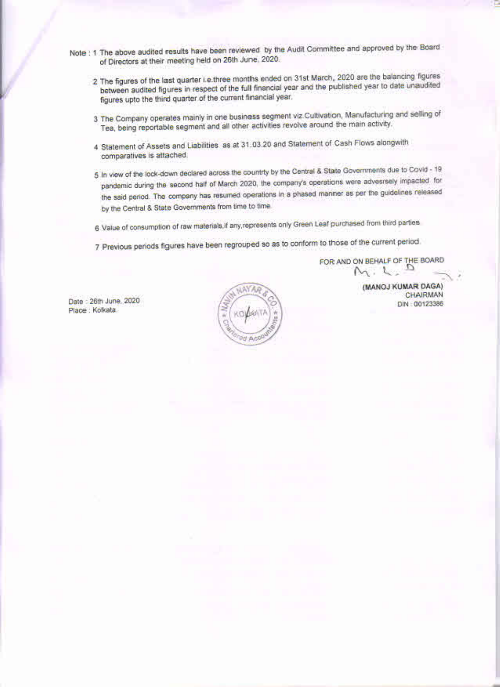- Note : 1 The above audited results have been reviewed by the Audit Committee and approved by the Board of Directors at their meeting held on 26th June, 2020.
	- 2 The figures of the last quarter i.e.three months ended on 31st March, 2020 are the balancing figures between audited figures in respect of the full financial year and the published year to date unaudited figures upto the third quarter of the current financial year.
	- 3 The Company operates mainly in one business segment viz Cultivation, Manufacturing and selling of Tea, being reportable segment and all other activities revolve around the main activity.
	- 4 Statement of Assets and Liabilities as at 31.03.20 and Statement of Cash Flows alongwith comparatives is attached.
	- 5 In view of the lock-down declared across the countrty by the Central & State Governments due to Covid 19 pandemic during the second half of March 2020, the company's operations were advesrsely impacted for the said period. The company has resumed operations in a phased manner as per the guidelines released by the Central & State Governments from time to time.
	- 6 Value of consumption of raw materials, if any represents only Green Leaf purchased from third parties
	- 7 Previous periods figures have been regrouped so as to conform to those of the current period.

FOR AND ON BEHALF OF THE BOARD  $M. L. D$ 

> (MANOJ KUMAR DAGA) **CHAIRMAN** DIN: 00123386

Date : 26th June, 2020 Place : Kolkata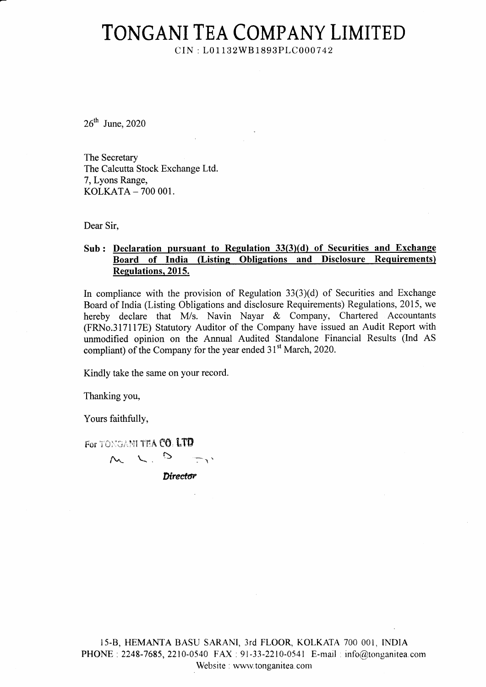$CIN: L01132WB1893PLC000742$ 

 $26<sup>th</sup>$  June, 2020

The Secretary The Calcutta Stock Exchange Ltd. 7, Lyons Range, KOLKATA - 700 001.

Dear Sir,

#### Sub : Declaration pursuant to Regulation 33(3)(d) of Securities and Exchange Board of India (Listing Obligations and Disclosure Requirements) Regulations. 2015.

In compliance with the provision of Regulation  $33(3)(d)$  of Securities and Exchange Board of India (Listing Obligations and disclosure Requirements) Regulations,2015, we hereby declare that M/s. Navin Nayar & Company, Chartered Accountants (FRNo.3l7ll7E) Statutory Auditor of the Company have issued an Audit Report with unmodified opinion on the Annual Audited Standalone Financial Results (Ind AS compliant) of the Company for the year ended 31<sup>st</sup> March, 2020.

Kindly take the same on your record.

 $M \sim L^2$  b  $\sim$ 

Thanking you,

Yours faithfully,

For TONGANI TEA CO. LTD

Director